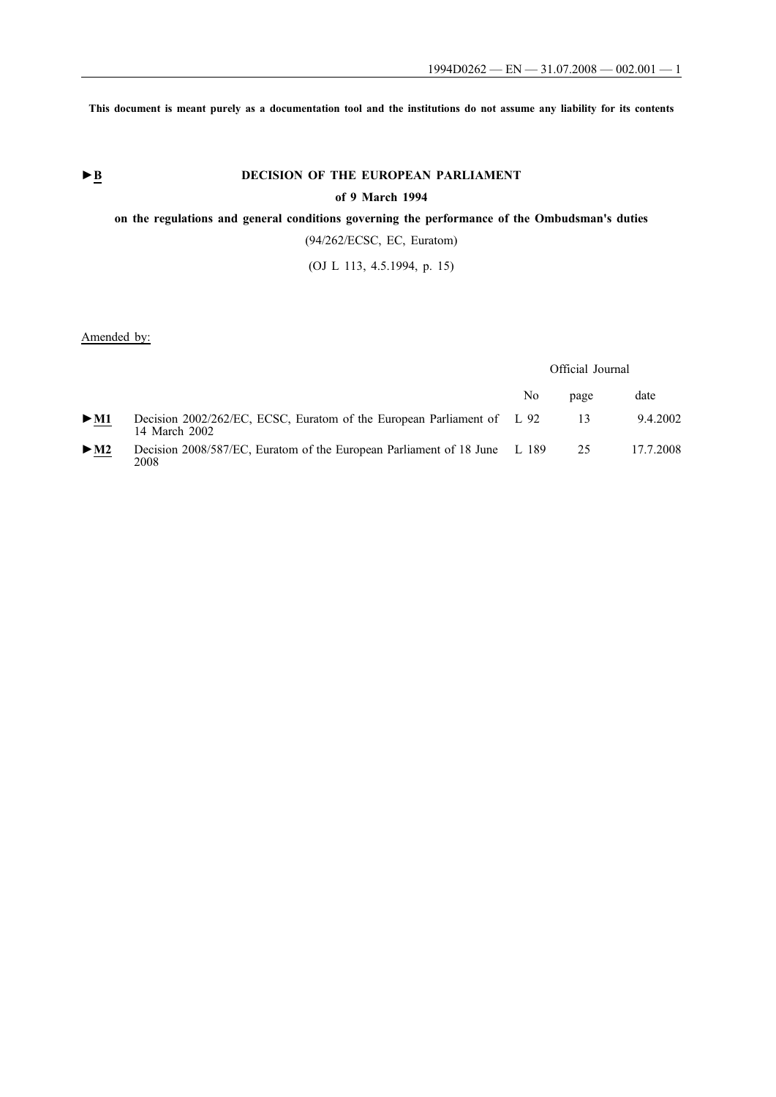**This document is meant purely as a documentation tool and the institutions do not assume any liability for its contents**

# ► **B** DECISION OF THE EUROPEAN PARLIAMENT

## **of 9 March 1994**

## **on the regulations and general conditions governing the performance of the Ombudsman's duties**

(94/262/ECSC, EC, Euratom)

(OJ L 113, 4.5.1994, p. 15)

## Amended by:

#### Official Journal

|                            |                                                                                         | No | page | date      |
|----------------------------|-----------------------------------------------------------------------------------------|----|------|-----------|
| $\triangleright$ <u>M1</u> | Decision 2002/262/EC, ECSC, Euratom of the European Parliament of L 92<br>14 March 2002 |    | 13   | 9.4.2002  |
| $\triangleright$ <u>M2</u> | Decision 2008/587/EC, Euratom of the European Parliament of 18 June L 189<br>2008       |    | 25   | 17.7.2008 |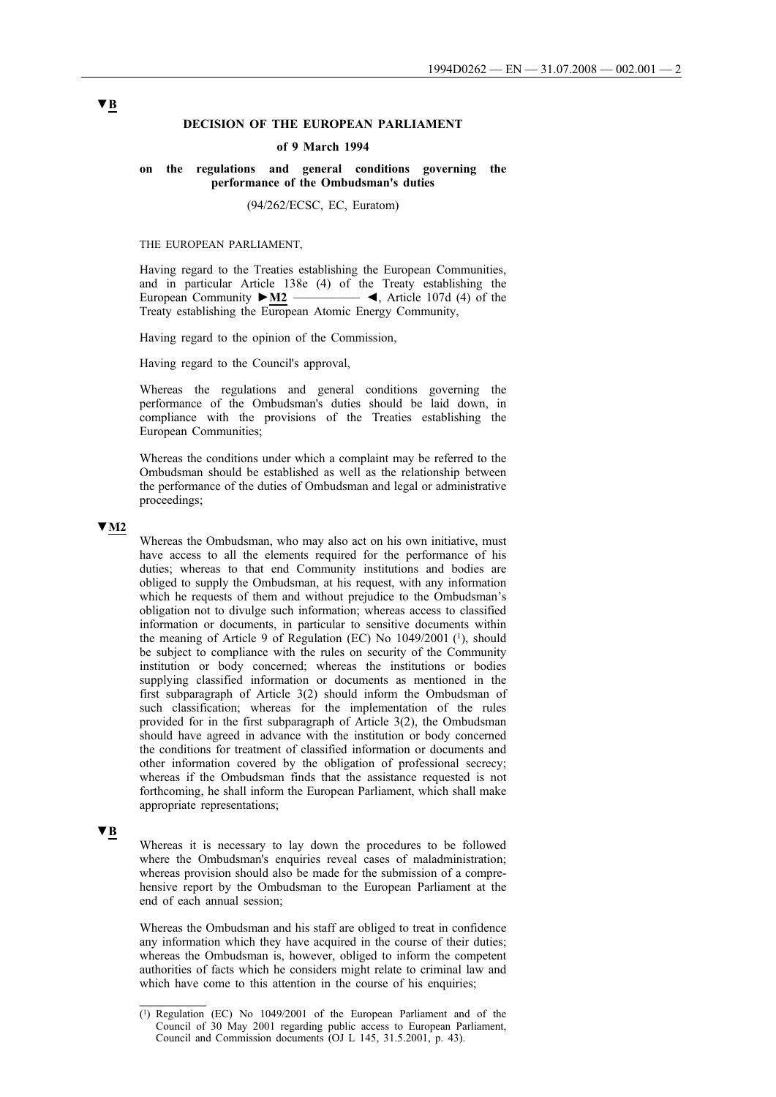#### **DECISION OF THE EUROPEAN PARLIAMENT**

#### **of 9 March 1994**

#### **on the regulations and general conditions governing the performance of the Ombudsman's duties**

(94/262/ECSC, EC, Euratom)

#### THE EUROPEAN PARLIAMENT,

Having regard to the Treaties establishing the European Communities, and in particular Article 138e (4) of the Treaty establishing the European Community **►M2** \_\_\_\_\_\_\_\_\_\_ ◄, Article 107d (4) of the Treaty establishing the European Atomic Energy Community,

Having regard to the opinion of the Commission,

Having regard to the Council's approval,

Whereas the regulations and general conditions governing the performance of the Ombudsman's duties should be laid down, in compliance with the provisions of the Treaties establishing the European Communities;

Whereas the conditions under which a complaint may be referred to the Ombudsman should be established as well as the relationship between the performance of the duties of Ombudsman and legal or administrative proceedings;

#### **▼M2**

Whereas the Ombudsman, who may also act on his own initiative, must have access to all the elements required for the performance of his duties; whereas to that end Community institutions and bodies are obliged to supply the Ombudsman, at his request, with any information which he requests of them and without prejudice to the Ombudsman's obligation not to divulge such information; whereas access to classified information or documents, in particular to sensitive documents within the meaning of Article 9 of Regulation (EC) No 1049/2001 (1), should be subject to compliance with the rules on security of the Community institution or body concerned; whereas the institutions or bodies supplying classified information or documents as mentioned in the first subparagraph of Article 3(2) should inform the Ombudsman of such classification; whereas for the implementation of the rules provided for in the first subparagraph of Article 3(2), the Ombudsman should have agreed in advance with the institution or body concerned the conditions for treatment of classified information or documents and other information covered by the obligation of professional secrecy; whereas if the Ombudsman finds that the assistance requested is not forthcoming, he shall inform the European Parliament, which shall make appropriate representations;

#### **▼B**

Whereas it is necessary to lay down the procedures to be followed where the Ombudsman's enquiries reveal cases of maladministration; whereas provision should also be made for the submission of a comprehensive report by the Ombudsman to the European Parliament at the end of each annual session;

Whereas the Ombudsman and his staff are obliged to treat in confidence any information which they have acquired in the course of their duties; whereas the Ombudsman is, however, obliged to inform the competent authorities of facts which he considers might relate to criminal law and which have come to this attention in the course of his enquiries;

<sup>(1)</sup> Regulation (EC) No 1049/2001 of the European Parliament and of the Council of 30 May 2001 regarding public access to European Parliament, Council and Commission documents (OJ L 145, 31.5.2001, p. 43).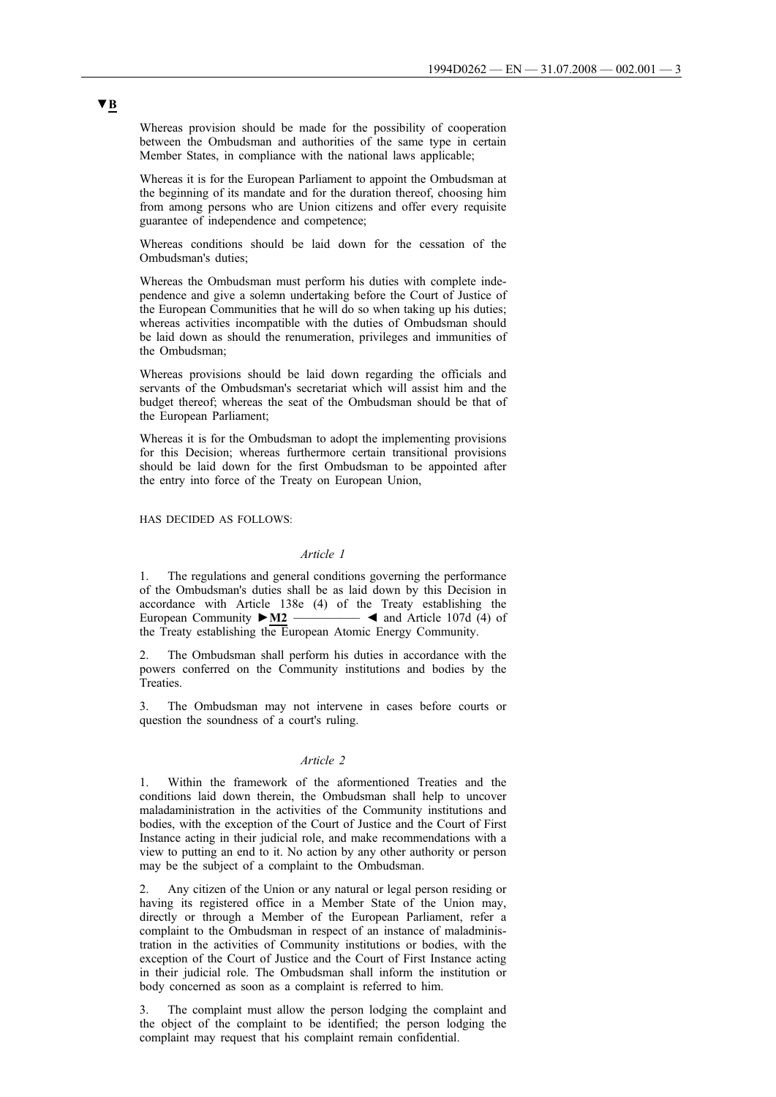Whereas provision should be made for the possibility of cooperation between the Ombudsman and authorities of the same type in certain Member States, in compliance with the national laws applicable;

Whereas it is for the European Parliament to appoint the Ombudsman at the beginning of its mandate and for the duration thereof, choosing him from among persons who are Union citizens and offer every requisite guarantee of independence and competence;

Whereas conditions should be laid down for the cessation of the Ombudsman's duties;

Whereas the Ombudsman must perform his duties with complete independence and give a solemn undertaking before the Court of Justice of the European Communities that he will do so when taking up his duties; whereas activities incompatible with the duties of Ombudsman should be laid down as should the renumeration, privileges and immunities of the Ombudsman;

Whereas provisions should be laid down regarding the officials and servants of the Ombudsman's secretariat which will assist him and the budget thereof; whereas the seat of the Ombudsman should be that of the European Parliament;

Whereas it is for the Ombudsman to adopt the implementing provisions for this Decision; whereas furthermore certain transitional provisions should be laid down for the first Ombudsman to be appointed after the entry into force of the Treaty on European Union,

HAS DECIDED AS FOLLOWS:

#### *Article 1*

1. The regulations and general conditions governing the performance of the Ombudsman's duties shall be as laid down by this Decision in accordance with Article 138e (4) of the Treaty establishing the European Community  $\triangleright M2$   $\longrightarrow$  and Article 107d (4) of the Treaty establishing the European Atomic Energy Community.

2. The Ombudsman shall perform his duties in accordance with the powers conferred on the Community institutions and bodies by the Treaties.

3. The Ombudsman may not intervene in cases before courts or question the soundness of a court's ruling.

#### *Article 2*

1. Within the framework of the aformentioned Treaties and the conditions laid down therein, the Ombudsman shall help to uncover maladaministration in the activities of the Community institutions and bodies, with the exception of the Court of Justice and the Court of First Instance acting in their judicial role, and make recommendations with a view to putting an end to it. No action by any other authority or person may be the subject of a complaint to the Ombudsman.

2. Any citizen of the Union or any natural or legal person residing or having its registered office in a Member State of the Union may, directly or through a Member of the European Parliament, refer a complaint to the Ombudsman in respect of an instance of maladministration in the activities of Community institutions or bodies, with the exception of the Court of Justice and the Court of First Instance acting in their judicial role. The Ombudsman shall inform the institution or body concerned as soon as a complaint is referred to him.

3. The complaint must allow the person lodging the complaint and the object of the complaint to be identified; the person lodging the complaint may request that his complaint remain confidential.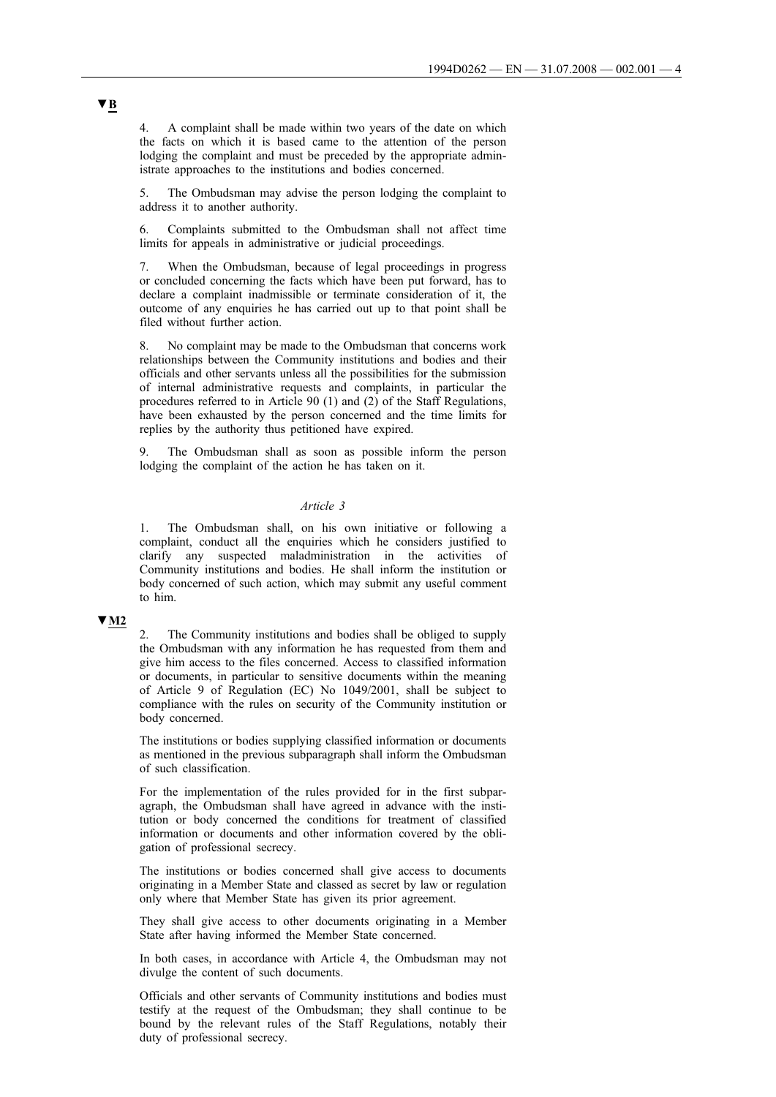4. A complaint shall be made within two years of the date on which the facts on which it is based came to the attention of the person lodging the complaint and must be preceded by the appropriate administrate approaches to the institutions and bodies concerned.

5. The Ombudsman may advise the person lodging the complaint to address it to another authority.

6. Complaints submitted to the Ombudsman shall not affect time limits for appeals in administrative or judicial proceedings.

7. When the Ombudsman, because of legal proceedings in progress or concluded concerning the facts which have been put forward, has to declare a complaint inadmissible or terminate consideration of it, the outcome of any enquiries he has carried out up to that point shall be filed without further action.

8. No complaint may be made to the Ombudsman that concerns work relationships between the Community institutions and bodies and their officials and other servants unless all the possibilities for the submission of internal administrative requests and complaints, in particular the procedures referred to in Article 90 (1) and (2) of the Staff Regulations, have been exhausted by the person concerned and the time limits for replies by the authority thus petitioned have expired.

The Ombudsman shall as soon as possible inform the person lodging the complaint of the action he has taken on it.

### *Article 3*

1. The Ombudsman shall, on his own initiative or following a complaint, conduct all the enquiries which he considers justified to clarify any suspected maladministration in the activities of Community institutions and bodies. He shall inform the institution or body concerned of such action, which may submit any useful comment to him.

## **▼M2**

2. The Community institutions and bodies shall be obliged to supply the Ombudsman with any information he has requested from them and give him access to the files concerned. Access to classified information or documents, in particular to sensitive documents within the meaning of Article 9 of Regulation (EC) No 1049/2001, shall be subject to compliance with the rules on security of the Community institution or body concerned.

The institutions or bodies supplying classified information or documents as mentioned in the previous subparagraph shall inform the Ombudsman of such classification.

For the implementation of the rules provided for in the first subparagraph, the Ombudsman shall have agreed in advance with the institution or body concerned the conditions for treatment of classified information or documents and other information covered by the obligation of professional secrecy.

The institutions or bodies concerned shall give access to documents originating in a Member State and classed as secret by law or regulation only where that Member State has given its prior agreement.

They shall give access to other documents originating in a Member State after having informed the Member State concerned.

In both cases, in accordance with Article 4, the Ombudsman may not divulge the content of such documents.

Officials and other servants of Community institutions and bodies must testify at the request of the Ombudsman; they shall continue to be bound by the relevant rules of the Staff Regulations, notably their duty of professional secrecy.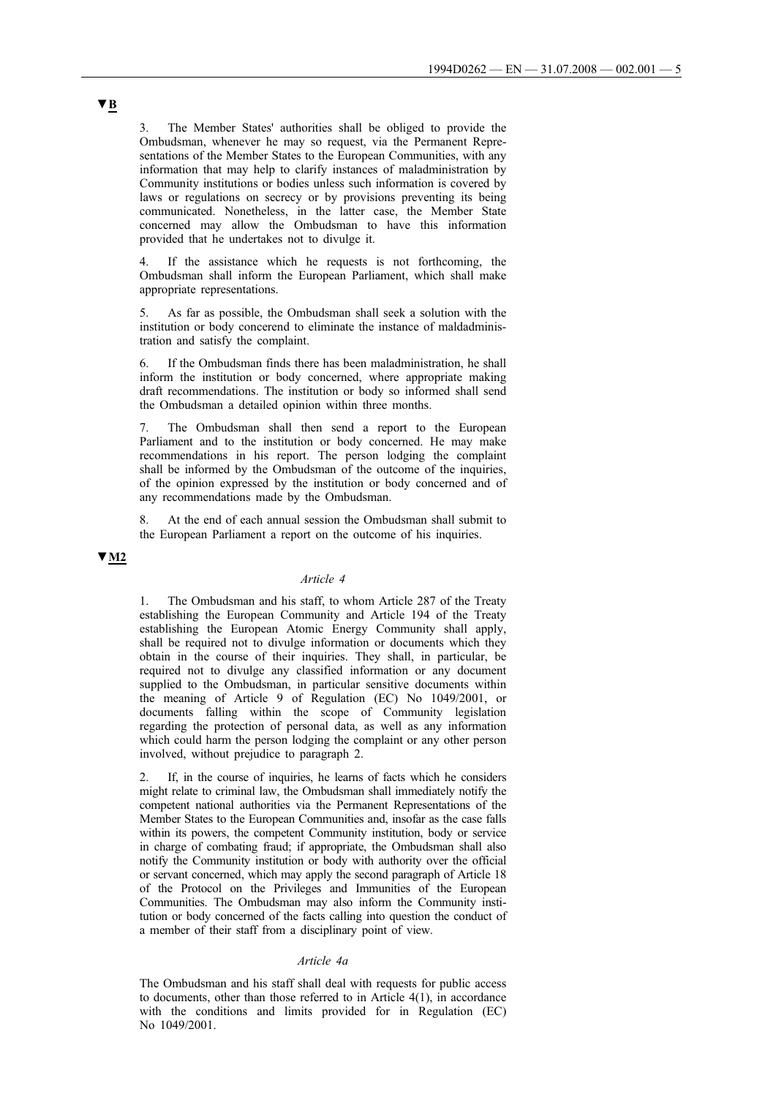3. The Member States' authorities shall be obliged to provide the Ombudsman, whenever he may so request, via the Permanent Representations of the Member States to the European Communities, with any information that may help to clarify instances of maladministration by Community institutions or bodies unless such information is covered by laws or regulations on secrecy or by provisions preventing its being communicated. Nonetheless, in the latter case, the Member State concerned may allow the Ombudsman to have this information provided that he undertakes not to divulge it.

If the assistance which he requests is not forthcoming, the Ombudsman shall inform the European Parliament, which shall make appropriate representations.

5. As far as possible, the Ombudsman shall seek a solution with the institution or body concerend to eliminate the instance of maldadministration and satisfy the complaint.

6. If the Ombudsman finds there has been maladministration, he shall inform the institution or body concerned, where appropriate making draft recommendations. The institution or body so informed shall send the Ombudsman a detailed opinion within three months.

The Ombudsman shall then send a report to the European Parliament and to the institution or body concerned. He may make recommendations in his report. The person lodging the complaint shall be informed by the Ombudsman of the outcome of the inquiries, of the opinion expressed by the institution or body concerned and of any recommendations made by the Ombudsman.

8. At the end of each annual session the Ombudsman shall submit to the European Parliament a report on the outcome of his inquiries.

## **▼M2**

## *Article 4*

1. The Ombudsman and his staff, to whom Article 287 of the Treaty establishing the European Community and Article 194 of the Treaty establishing the European Atomic Energy Community shall apply, shall be required not to divulge information or documents which they obtain in the course of their inquiries. They shall, in particular, be required not to divulge any classified information or any document supplied to the Ombudsman, in particular sensitive documents within the meaning of Article 9 of Regulation (EC) No 1049/2001, or documents falling within the scope of Community legislation regarding the protection of personal data, as well as any information which could harm the person lodging the complaint or any other person involved, without prejudice to paragraph 2.

2. If, in the course of inquiries, he learns of facts which he considers might relate to criminal law, the Ombudsman shall immediately notify the competent national authorities via the Permanent Representations of the Member States to the European Communities and, insofar as the case falls within its powers, the competent Community institution, body or service in charge of combating fraud; if appropriate, the Ombudsman shall also notify the Community institution or body with authority over the official or servant concerned, which may apply the second paragraph of Article 18 of the Protocol on the Privileges and Immunities of the European Communities. The Ombudsman may also inform the Community institution or body concerned of the facts calling into question the conduct of a member of their staff from a disciplinary point of view.

#### *Article 4a*

The Ombudsman and his staff shall deal with requests for public access to documents, other than those referred to in Article 4(1), in accordance with the conditions and limits provided for in Regulation (EC) No 1049/2001.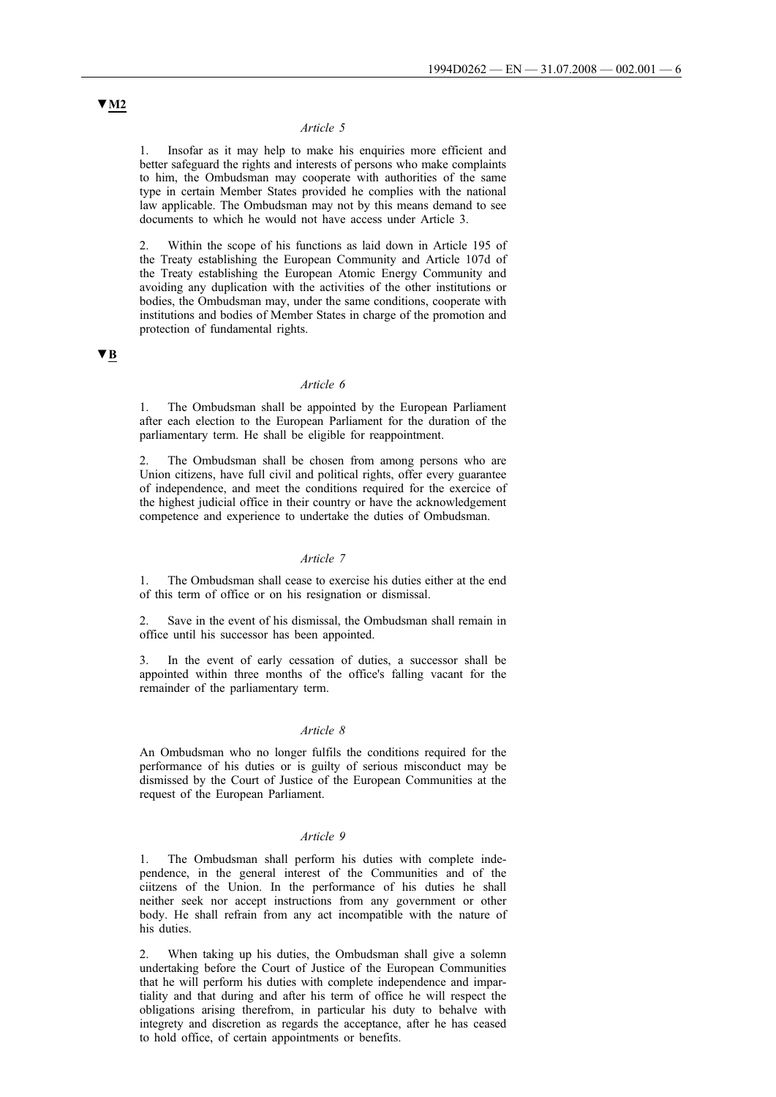#### *Article 5*

1. Insofar as it may help to make his enquiries more efficient and better safeguard the rights and interests of persons who make complaints to him, the Ombudsman may cooperate with authorities of the same type in certain Member States provided he complies with the national law applicable. The Ombudsman may not by this means demand to see documents to which he would not have access under Article 3.

2. Within the scope of his functions as laid down in Article 195 of the Treaty establishing the European Community and Article 107d of the Treaty establishing the European Atomic Energy Community and avoiding any duplication with the activities of the other institutions or bodies, the Ombudsman may, under the same conditions, cooperate with institutions and bodies of Member States in charge of the promotion and protection of fundamental rights.

## **▼B**

#### *Article 6*

1. The Ombudsman shall be appointed by the European Parliament after each election to the European Parliament for the duration of the parliamentary term. He shall be eligible for reappointment.

2. The Ombudsman shall be chosen from among persons who are Union citizens, have full civil and political rights, offer every guarantee of independence, and meet the conditions required for the exercice of the highest judicial office in their country or have the acknowledgement competence and experience to undertake the duties of Ombudsman.

#### *Article 7*

1. The Ombudsman shall cease to exercise his duties either at the end of this term of office or on his resignation or dismissal.

2. Save in the event of his dismissal, the Ombudsman shall remain in office until his successor has been appointed.

3. In the event of early cessation of duties, a successor shall be appointed within three months of the office's falling vacant for the remainder of the parliamentary term.

#### *Article 8*

An Ombudsman who no longer fulfils the conditions required for the performance of his duties or is guilty of serious misconduct may be dismissed by the Court of Justice of the European Communities at the request of the European Parliament.

#### *Article 9*

1. The Ombudsman shall perform his duties with complete independence, in the general interest of the Communities and of the ciitzens of the Union. In the performance of his duties he shall neither seek nor accept instructions from any government or other body. He shall refrain from any act incompatible with the nature of his duties.

2. When taking up his duties, the Ombudsman shall give a solemn undertaking before the Court of Justice of the European Communities that he will perform his duties with complete independence and impartiality and that during and after his term of office he will respect the obligations arising therefrom, in particular his duty to behalve with integrety and discretion as regards the acceptance, after he has ceased to hold office, of certain appointments or benefits.

# **▼M2**